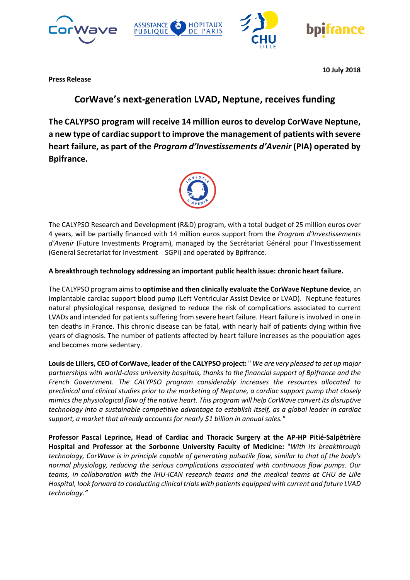







**10 July 2018**

**Press Release**

# **CorWave's next-generation LVAD, Neptune, receives funding**

**The CALYPSO program will receive 14 million euros to develop CorWave Neptune, a new type of cardiac support to improve the management of patients with severe heart failure, as part of the** *Program d'Investissements d'Avenir* **(PIA) operated by Bpifrance.**



The CALYPSO Research and Development (R&D) program, with a total budget of 25 million euros over 4 years, will be partially financed with 14 million euros support from the *Program d'Investissements d'Avenir* (Future Investments Program), managed by the Secrétariat Général pour l'Investissement (General Secretariat for Investment – SGPI) and operated by Bpifrance.

# **A breakthrough technology addressing an important public health issue: chronic heart failure.**

The CALYPSO program aims to **optimise and then clinically evaluate the CorWave Neptune device**, an implantable cardiac support blood pump (Left Ventricular Assist Device or LVAD). Neptune features natural physiological response, designed to reduce the risk of complications associated to current LVADs and intended for patients suffering from severe heart failure. Heart failure is involved in one in ten deaths in France. This chronic disease can be fatal, with nearly half of patients dying within five years of diagnosis. The number of patients affected by heart failure increases as the population ages and becomes more sedentary.

**Louis de Lillers, CEO of CorWave, leader of the CALYPSO project:** " *We are very pleased to set up major partnerships with world-class university hospitals, thanks to the financial support of Bpifrance and the French Government. The CALYPSO program considerably increases the resources allocated to preclinical and clinical studies prior to the marketing of Neptune, a cardiac support pump that closely mimics the physiological flow of the native heart. This program will help CorWave convert its disruptive technology into a sustainable competitive advantage to establish itself, as a global leader in cardiac support, a market that already accounts for nearly \$1 billion in annual sales."*

**Professor Pascal Leprince, Head of Cardiac and Thoracic Surgery at the AP-HP Pitié-Salpêtrière Hospital and Professor at the Sorbonne University Faculty of Medicine:** "*With its breakthrough technology, CorWave is in principle capable of generating pulsatile flow, similar to that of the body's normal physiology, reducing the serious complications associated with continuous flow pumps. Our teams, in collaboration with the IHU-ICAN research teams and the medical teams at CHU de Lille Hospital, look forward to conducting clinical trials with patients equipped with current and future LVAD technology."*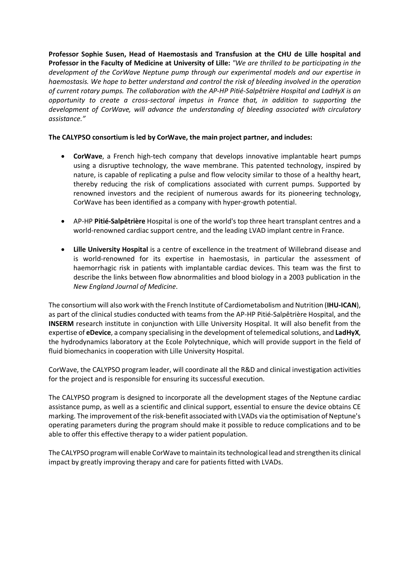**Professor Sophie Susen, Head of Haemostasis and Transfusion at the CHU de Lille hospital and Professor in the Faculty of Medicine at University of Lille:** *"We are thrilled to be participating in the development of the CorWave Neptune pump through our experimental models and our expertise in haemostasis. We hope to better understand and control the risk of bleeding involved in the operation of current rotary pumps. The collaboration with the AP-HP Pitié-Salpêtrière Hospital and LadHyX is an opportunity to create a cross-sectoral impetus in France that, in addition to supporting the development of CorWave, will advance the understanding of bleeding associated with circulatory assistance."* 

# **The CALYPSO consortium is led by CorWave, the main project partner, and includes:**

- **CorWave**, a French high-tech company that develops innovative implantable heart pumps using a disruptive technology, the wave membrane. This patented technology, inspired by nature, is capable of replicating a pulse and flow velocity similar to those of a healthy heart, thereby reducing the risk of complications associated with current pumps. Supported by renowned investors and the recipient of numerous awards for its pioneering technology, CorWave has been identified as a company with hyper-growth potential.
- AP-HP **Pitié-Salpêtrière** Hospital is one of the world's top three heart transplant centres and a world-renowned cardiac support centre, and the leading LVAD implant centre in France.
- **Lille University Hospital** is a centre of excellence in the treatment of Willebrand disease and is world-renowned for its expertise in haemostasis, in particular the assessment of haemorrhagic risk in patients with implantable cardiac devices. This team was the first to describe the links between flow abnormalities and blood biology in a 2003 publication in the *New England Journal of Medicine*.

The consortium will also work with the French Institute of Cardiometabolism and Nutrition (**IHU-ICAN**), as part of the clinical studies conducted with teams from the AP-HP Pitié-Salpêtrière Hospital, and the **INSERM** research institute in conjunction with Lille University Hospital. It will also benefit from the expertise of **eDevice**, a company specialising in the development of telemedical solutions, and **LadHyX**, the hydrodynamics laboratory at the Ecole Polytechnique, which will provide support in the field of fluid biomechanics in cooperation with Lille University Hospital.

CorWave, the CALYPSO program leader, will coordinate all the R&D and clinical investigation activities for the project and is responsible for ensuring its successful execution.

The CALYPSO program is designed to incorporate all the development stages of the Neptune cardiac assistance pump, as well as a scientific and clinical support, essential to ensure the device obtains CE marking. The improvement of the risk-benefit associated with LVADs via the optimisation of Neptune's operating parameters during the program should make it possible to reduce complications and to be able to offer this effective therapy to a wider patient population.

The CALYPSO programwill enable CorWave to maintain its technological lead and strengthen its clinical impact by greatly improving therapy and care for patients fitted with LVADs.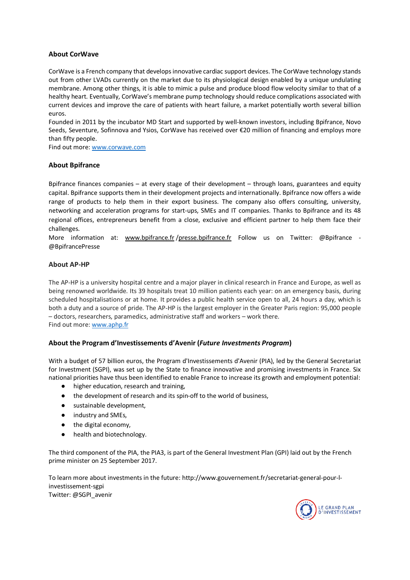## **About CorWave**

CorWave is a French company that develops innovative cardiac support devices. The CorWave technology stands out from other LVADs currently on the market due to its physiological design enabled by a unique undulating membrane. Among other things, it is able to mimic a pulse and produce blood flow velocity similar to that of a healthy heart. Eventually, CorWave's membrane pump technology should reduce complications associated with current devices and improve the care of patients with heart failure, a market potentially worth several billion euros.

Founded in 2011 by the incubator MD Start and supported by well-known investors, including Bpifrance, Novo Seeds, Seventure, Sofinnova and Ysios, CorWave has received over €20 million of financing and employs more than fifty people.

Find out more: www.corwave.com

## **About Bpifrance**

Bpifrance finances companies – at every stage of their development – through loans, guarantees and equity capital. Bpifrance supports them in their development projects and internationally. Bpifrance now offers a wide range of products to help them in their export business. The company also offers consulting, university, networking and acceleration programs for start-ups, SMEs and IT companies. Thanks to Bpifrance and its 48 regional offices, entrepreneurs benefit from a close, exclusive and efficient partner to help them face their challenges.

More information at: www.bpifrance.fr/presse.bpifrance.fr Follow us on Twitter: @Bpifrance -@BpifrancePresse

## **About AP-HP**

The AP-HP is a university hospital centre and a major player in clinical research in France and Europe, as well as being renowned worldwide. Its 39 hospitals treat 10 million patients each year: on an emergency basis, during scheduled hospitalisations or at home. It provides a public health service open to all, 24 hours a day, which is both a duty and a source of pride. The AP-HP is the largest employer in the Greater Paris region: 95,000 people – doctors, researchers, paramedics, administrative staff and workers – work there. Find out more: www.aphp.fr

#### **About the Program d'Investissements d'Avenir (***Future Investments Program***)**

With a budget of 57 billion euros, the Program d'Investissements d'Avenir (PIA), led by the General Secretariat for Investment (SGPI), was set up by the State to finance innovative and promising investments in France. Six national priorities have thus been identified to enable France to increase its growth and employment potential:

- higher education, research and training,
- the development of research and its spin-off to the world of business,
- sustainable development,
- industry and SMEs,
- the digital economy,
- health and biotechnology.

The third component of the PIA, the PIA3, is part of the General Investment Plan (GPI) laid out by the French prime minister on 25 September 2017.

To learn more about investments in the future: http://www.gouvernement.fr/secretariat-general-pour-linvestissement-sgpi Twitter: @SGPI\_avenir